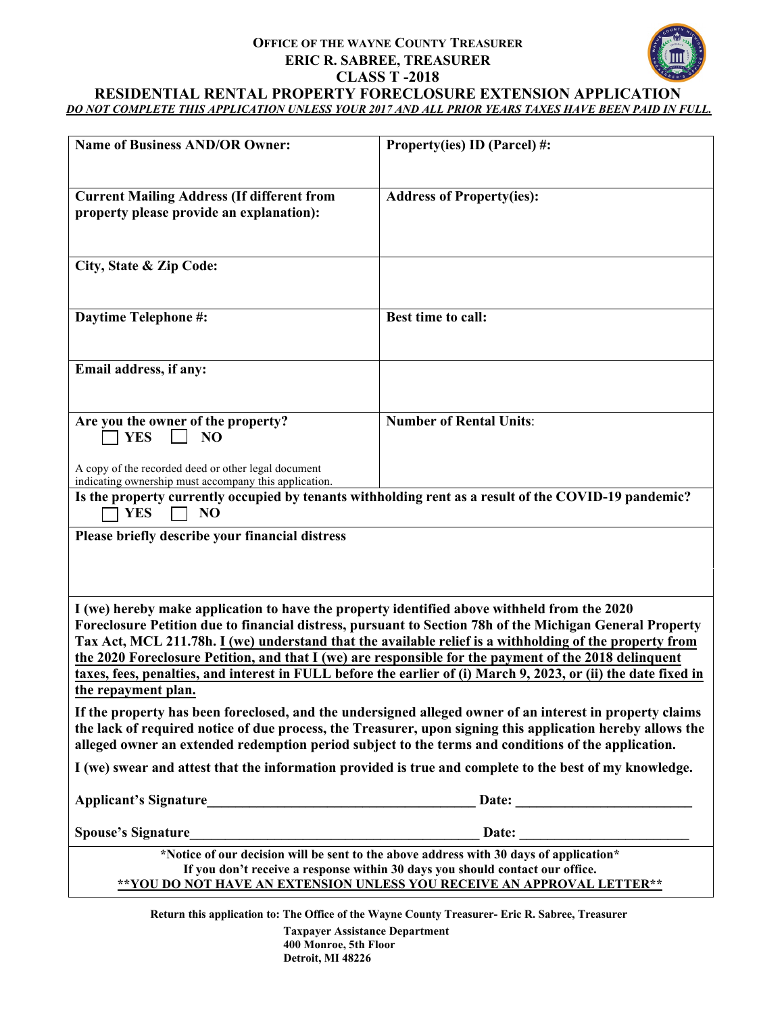# **OFFICE OF THE WAYNE COUNTY TREASURER ERIC R. SABREE, TREASURER CLASS T -2018**



#### **RESIDENTIAL RENTAL PROPERTY FORECLOSURE EXTENSION APPLICATION** *DO NOT COMPLETE THIS APPLICATION UNLESS YOUR 2017 AND ALL PRIOR YEARS TAXES HAVE BEEN PAID IN FULL.*

| <b>Name of Business AND/OR Owner:</b>                                                                                                                                                                                                                                                                                                                                                                                                                                                                                                                                 | Property(ies) ID (Parcel) #:     |
|-----------------------------------------------------------------------------------------------------------------------------------------------------------------------------------------------------------------------------------------------------------------------------------------------------------------------------------------------------------------------------------------------------------------------------------------------------------------------------------------------------------------------------------------------------------------------|----------------------------------|
| <b>Current Mailing Address (If different from</b><br>property please provide an explanation):                                                                                                                                                                                                                                                                                                                                                                                                                                                                         | <b>Address of Property(ies):</b> |
| City, State & Zip Code:                                                                                                                                                                                                                                                                                                                                                                                                                                                                                                                                               |                                  |
| <b>Daytime Telephone #:</b>                                                                                                                                                                                                                                                                                                                                                                                                                                                                                                                                           | <b>Best time to call:</b>        |
| Email address, if any:                                                                                                                                                                                                                                                                                                                                                                                                                                                                                                                                                |                                  |
| Are you the owner of the property?<br><b>YES</b><br>NO                                                                                                                                                                                                                                                                                                                                                                                                                                                                                                                | <b>Number of Rental Units:</b>   |
| A copy of the recorded deed or other legal document<br>indicating ownership must accompany this application.                                                                                                                                                                                                                                                                                                                                                                                                                                                          |                                  |
| Is the property currently occupied by tenants withholding rent as a result of the COVID-19 pandemic?<br><b>YES</b><br>NO                                                                                                                                                                                                                                                                                                                                                                                                                                              |                                  |
| Please briefly describe your financial distress                                                                                                                                                                                                                                                                                                                                                                                                                                                                                                                       |                                  |
| I (we) hereby make application to have the property identified above withheld from the 2020<br>Foreclosure Petition due to financial distress, pursuant to Section 78h of the Michigan General Property<br>Tax Act, MCL 211.78h. I (we) understand that the available relief is a withholding of the property from<br>the 2020 Foreclosure Petition, and that I (we) are responsible for the payment of the 2018 delinquent<br>taxes, fees, penalties, and interest in FULL before the earlier of (i) March 9, 2023, or (ii) the date fixed in<br>the repayment plan. |                                  |
| If the property has been foreclosed, and the undersigned alleged owner of an interest in property claims<br>the lack of required notice of due process, the Treasurer, upon signing this application hereby allows the<br>alleged owner an extended redemption period subject to the terms and conditions of the application.                                                                                                                                                                                                                                         |                                  |
| I (we) swear and attest that the information provided is true and complete to the best of my knowledge.                                                                                                                                                                                                                                                                                                                                                                                                                                                               |                                  |
|                                                                                                                                                                                                                                                                                                                                                                                                                                                                                                                                                                       |                                  |
|                                                                                                                                                                                                                                                                                                                                                                                                                                                                                                                                                                       |                                  |
| *Notice of our decision will be sent to the above address with 30 days of application*<br>If you don't receive a response within 30 days you should contact our office.<br>** YOU DO NOT HAVE AN EXTENSION UNLESS YOU RECEIVE AN APPROVAL LETTER**                                                                                                                                                                                                                                                                                                                    |                                  |

**Return this application to: The Office of the Wayne County Treasurer- Eric R. Sabree, Treasurer**

**Taxpayer Assistance Department 400 Monroe, 5th Floor Detroit, MI 48226**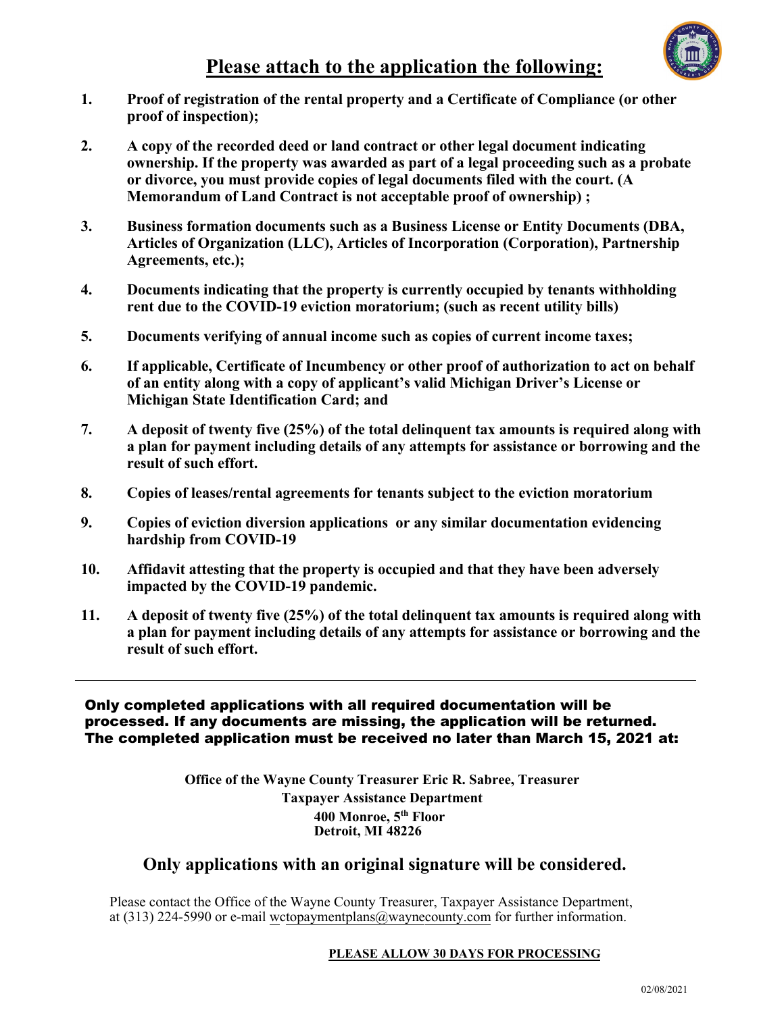

- **1. Proof of registration of the rental property and a Certificate of Compliance (or other proof of inspection);**
- **2. A copy of the recorded deed or land contract or other legal document indicating ownership. If the property was awarded as part of a legal proceeding such as a probate or divorce, you must provide copies of legal documents filed with the court. (A Memorandum of Land Contract is not acceptable proof of ownership) ;**
- **3. Business formation documents such as a Business License or Entity Documents (DBA, Articles of Organization (LLC), Articles of Incorporation (Corporation), Partnership Agreements, etc.);**
- **4. Documents indicating that the property is currently occupied by tenants withholding rent due to the COVID-19 eviction moratorium; (such as recent utility bills)**
- **5. Documents verifying of annual income such as copies of current income taxes;**
- **6. If applicable, Certificate of Incumbency or other proof of authorization to act on behalf of an entity along with a copy of applicant's valid Michigan Driver's License or Michigan State Identification Card; and**
- **7. A deposit of twenty five (25%) of the total delinquent tax amounts is required along with a plan for payment including details of any attempts for assistance or borrowing and the result of such effort.**
- **8. Copies of leases/rental agreements for tenants subject to the eviction moratorium**
- **9. Copies of eviction diversion applications or any similar documentation evidencing hardship from COVID-19**
- **10. Affidavit attesting that the property is occupied and that they have been adversely impacted by the COVID-19 pandemic.**
- **11. A deposit of twenty five (25%) of the total delinquent tax amounts is required along with a plan for payment including details of any attempts for assistance or borrowing and the result of such effort.**

Only completed applications with all required documentation will be processed. If any documents are missing, the application will be returned. The completed application must be received no later than March 15, 2021 at:

> **Office of the Wayne County Treasurer Eric R. Sabree, Treasurer Taxpayer Assistance Department 400 Monroe, 5th Floor Detroit, MI 48226**

## **Only applications with an original signature will be considered.**

Please contact the Office of the Wayne County Treasurer, Taxpayer Assistance Department, at (313) 224-5990 or e-mail wctopaymentplans@waynecounty.com for further information.

#### **PLEASE ALLOW 30 DAYS FOR PROCESSING**